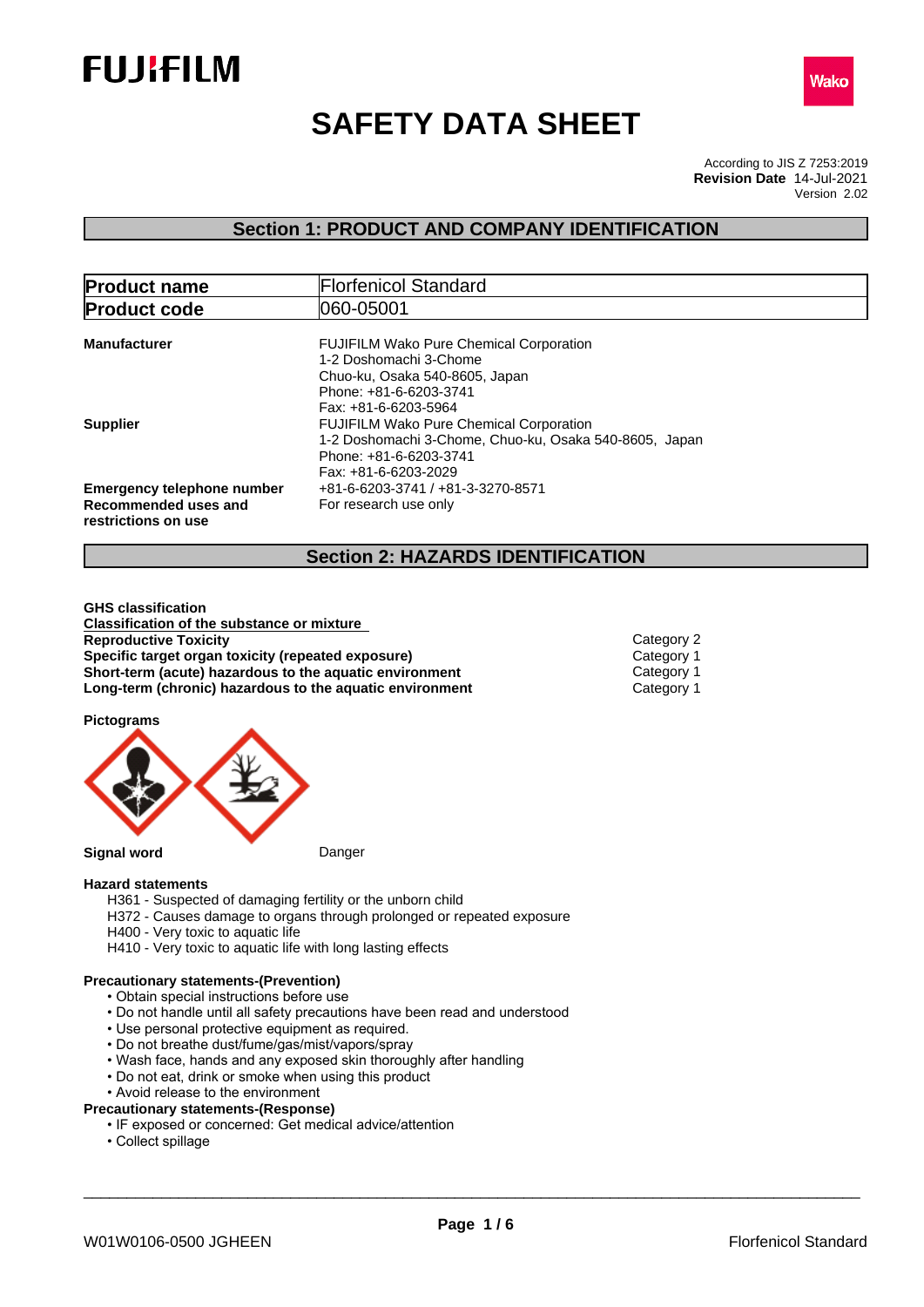



# **SAFETY DATA SHEET**

According to JIS Z 7253:2019 Version 2.02 **Revision Date** 14-Jul-2021

## **Section 1: PRODUCT AND COMPANY IDENTIFICATION**

| <b>Product name</b>                                                              | <b>Florfenicol Standard</b>                                                                                                                                  |  |  |
|----------------------------------------------------------------------------------|--------------------------------------------------------------------------------------------------------------------------------------------------------------|--|--|
| <b>Product code</b>                                                              | 1060-05001                                                                                                                                                   |  |  |
| <b>Manufacturer</b>                                                              | <b>FUJIFILM Wako Pure Chemical Corporation</b><br>1-2 Doshomachi 3-Chome<br>Chuo-ku, Osaka 540-8605, Japan<br>Phone: +81-6-6203-3741<br>Fax: +81-6-6203-5964 |  |  |
| <b>Supplier</b>                                                                  | <b>FUJIFILM Wako Pure Chemical Corporation</b><br>1-2 Doshomachi 3-Chome, Chuo-ku, Osaka 540-8605, Japan<br>Phone: +81-6-6203-3741<br>Fax: +81-6-6203-2029   |  |  |
| <b>Emergency telephone number</b><br>Recommended uses and<br>restrictions on use | +81-6-6203-3741 / +81-3-3270-8571<br>For research use only                                                                                                   |  |  |

## **Section 2: HAZARDS IDENTIFICATION**

**GHS classification Classification of the substance or mixture Reproductive Toxicity** Category 2 **Specific target organ toxicity (repeated exposure) Category 1 Category 1 Category 1 Short-term (acute) hazardous to the aquatic environment Short-term (acute)** hazardous to the aquatic environment Category 1<br>
Long-term (chronic) hazardous to the aquatic environment Category 1 **Long-term (chronic) hazardous to the aquatic environment** 

**Pictograms**



#### **Hazard statements**

- H361 Suspected of damaging fertility or the unborn child
- H372 Causes damage to organs through prolonged or repeated exposure
- H400 Very toxic to aquatic life
- H410 Very toxic to aquatic life with long lasting effects

#### **Precautionary statements-(Prevention)**

- Obtain special instructions before use
- Do not handle until all safety precautions have been read and understood
- Use personal protective equipment as required.
- Do not breathe dust/fume/gas/mist/vapors/spray
- Wash face, hands and any exposed skin thoroughly after handling
- Do not eat, drink or smoke when using this product
- Avoid release to the environment
- **Precautionary statements-(Response)**
	- IF exposed or concerned: Get medical advice/attention
	- Collect spillage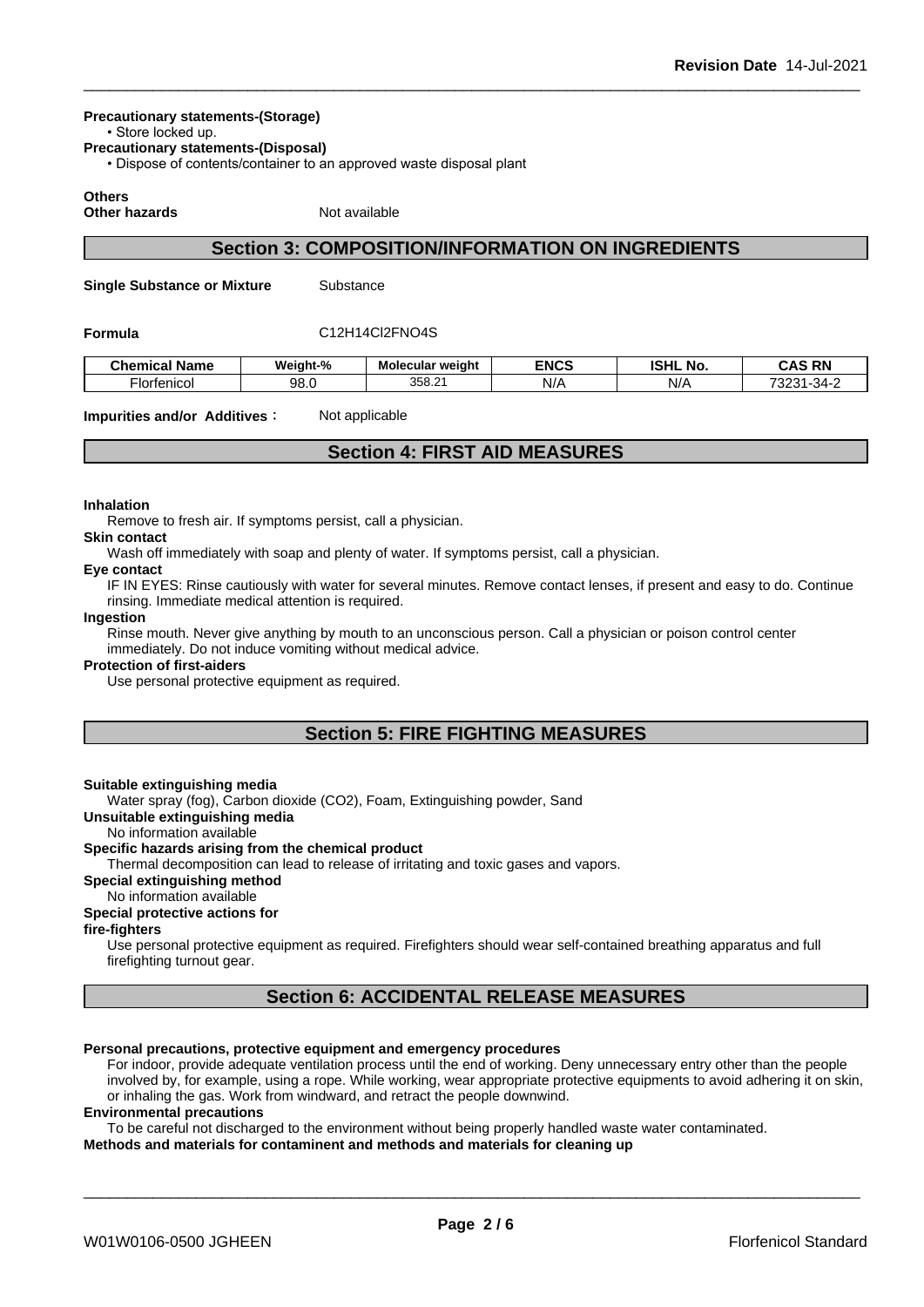#### **Precautionary statements-(Storage)**

• Store locked up.

**Precautionary statements-(Disposal)**

• Dispose of contents/container to an approved waste disposal plant

## **Others**

**Other hazards** Not available

## **Section 3: COMPOSITION/INFORMATION ON INGREDIENTS**

**Single Substance or Mixture** Substance

### **Formula** C12H14Cl2FNO4S

| Chemical<br>' Name                   | Weight-% | <b>Molecular weight</b> | <b>ENCS</b> | <b>ISHL</b><br>. .<br>. No | <b>CAS RN</b><br>טווט<br>-181                      |
|--------------------------------------|----------|-------------------------|-------------|----------------------------|----------------------------------------------------|
| ·Iortanicol<br>التابان<br>151<br>. . | 98.0     | 358.2<br>$\sim$         | N/A         | N/A                        | 7000.<br>$\sim$ $\sim$<br>$3/1 -$<br>-SZ<br>ີ<br>- |

**Impurities and/or Additives**: Not applicable

## **Section 4: FIRST AID MEASURES**

#### **Inhalation**

Remove to fresh air. If symptoms persist, call a physician.

**Skin contact**

Wash off immediately with soap and plenty of water. If symptoms persist, call a physician.

#### **Eye contact**

IF IN EYES: Rinse cautiously with water for several minutes. Remove contact lenses, if present and easy to do. Continue rinsing. Immediate medical attention is required.

#### **Ingestion**

Rinse mouth. Never give anything by mouth to an unconscious person. Call a physician or poison control center immediately. Do not induce vomiting without medical advice.

#### **Protection of first-aiders**

Use personal protective equipment as required.

## **Section 5: FIRE FIGHTING MEASURES**

#### **Suitable extinguishing media**

Water spray (fog), Carbon dioxide (CO2), Foam, Extinguishing powder, Sand

**Unsuitable extinguishing media**

#### No information available

#### **Specific hazards arising from the chemical product**

Thermal decomposition can lead to release of irritating and toxic gases and vapors.

## **Special extinguishing method**

## No information available

## **Special protective actions for**

#### **fire-fighters**

Use personal protective equipment as required.Firefighters should wear self-contained breathing apparatus and full firefighting turnout gear.

## **Section 6: ACCIDENTAL RELEASE MEASURES**

#### **Personal precautions, protective equipment and emergency procedures**

For indoor, provide adequate ventilation process until the end of working. Deny unnecessary entry other than the people involved by, for example, using a rope. While working, wear appropriate protective equipments to avoid adhering it on skin, or inhaling the gas. Work from windward, and retract the people downwind.

#### **Environmental precautions**

To be careful not discharged to the environment without being properly handled waste water contaminated. **Methods and materials for contaminent and methods and materials for cleaning up**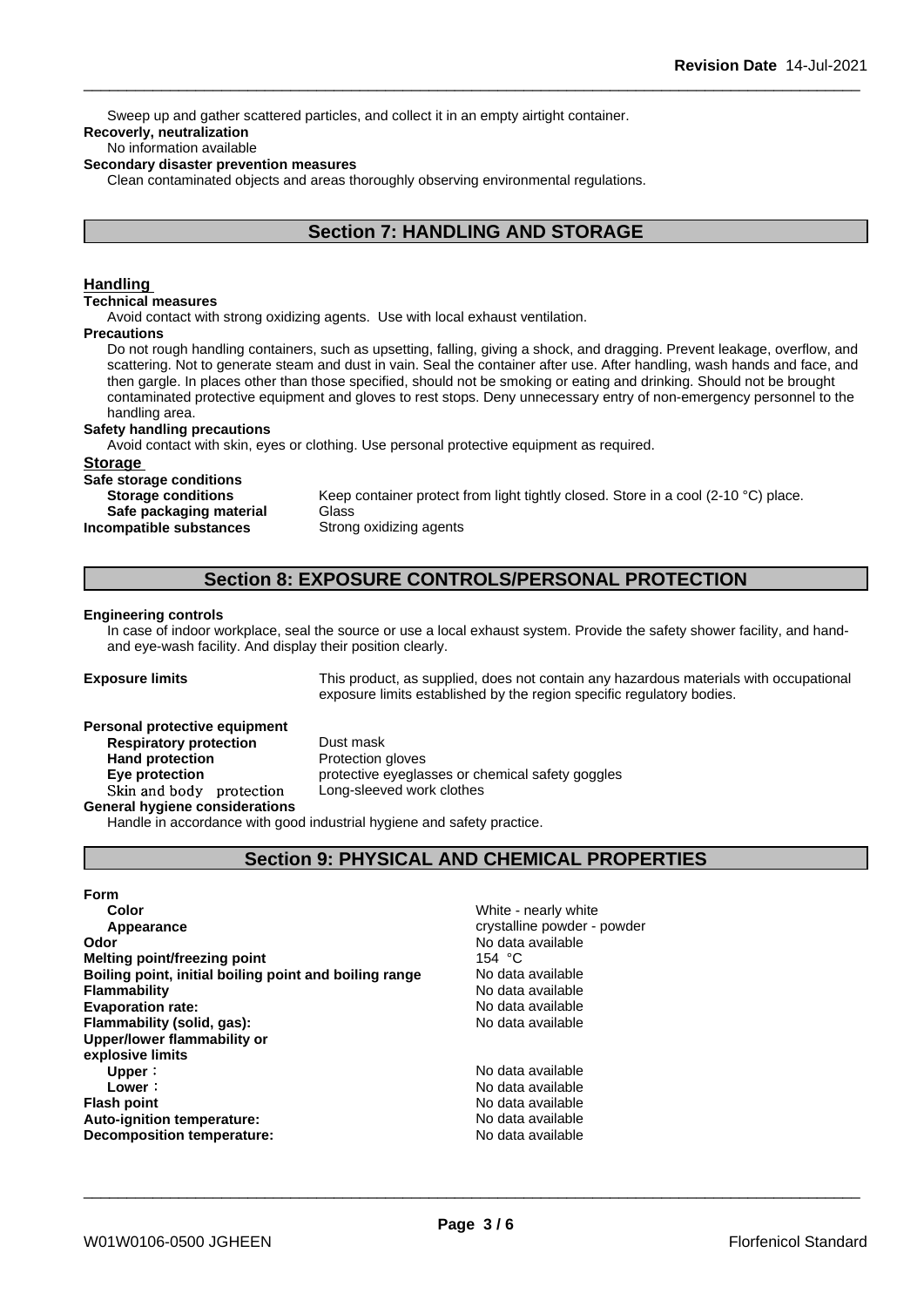Sweep up and gather scattered particles, and collect it in an empty airtight container.

## **Recoverly, neutralization**

#### No information available

#### **Secondary disaster prevention measures**

Clean contaminated objects and areas thoroughly observing environmental regulations.

## **Section 7: HANDLING AND STORAGE**

#### **Handling**

#### **Technical measures**

Avoid contact with strong oxidizing agents. Use with local exhaust ventilation.

#### **Precautions**

Do not rough handling containers, such as upsetting, falling, giving a shock, and dragging. Prevent leakage, overflow, and scattering. Not to generate steam and dust in vain. Seal the container after use. After handling, wash hands and face, and then gargle. In places other than those specified, should not be smoking or eating and drinking. Should not be brought contaminated protective equipment and gloves to rest stops. Deny unnecessary entry of non-emergency personnel to the handling area.

#### **Safety handling precautions**

Avoid contact with skin, eyes or clothing. Use personal protective equipment as required.

#### **Storage**

**Safe storage conditions Safe packaging material** Glass **Incompatible substances** Strong oxidizing agents

**Storage conditions** Keep container protect from light tightly closed. Store in a cool (2-10 °C) place.

## **Section 8: EXPOSURE CONTROLS/PERSONAL PROTECTION**

#### **Engineering controls**

In case of indoor workplace, seal the source or use a local exhaust system. Provide the safety shower facility, and handand eye-wash facility. And display their position clearly.

**Exposure limits** This product, as supplied, does not contain any hazardous materials with occupational exposure limits established by the region specific regulatory bodies.

#### **Personal protective equipment**

**Respiratory protection** Dust mask **Hand protection** Protection gloves **Skinandbody protection** Long-sleeved work clothes **General hygiene considerations**

**Eye protection Exercise** protective eyeglasses or chemical safety goggles

Handle in accordance with good industrial hygiene and safety practice.

## **Section 9: PHYSICAL AND CHEMICAL PROPERTIES**

## **Form**

**Color** White - nearly white **Appearance** crystalline powder - powder **Odor Odor** No data available **Melting point/freezing point C Melting point/freezing point Melting point/freezing point**<br> **Rolling point, initial boiling point and boiling range** Modata available **Boiling point, initial boiling point and boiling range Flammability** No data available **Evaporation rate:** No data available **Flammability (solid, gas):** No data available **Upper/lower flammability or explosive limits Upper** : No data available **Lower**: No data available **Flash point No data available No data available Auto-ignition temperature:** No data available **Decomposition temperature:** No data available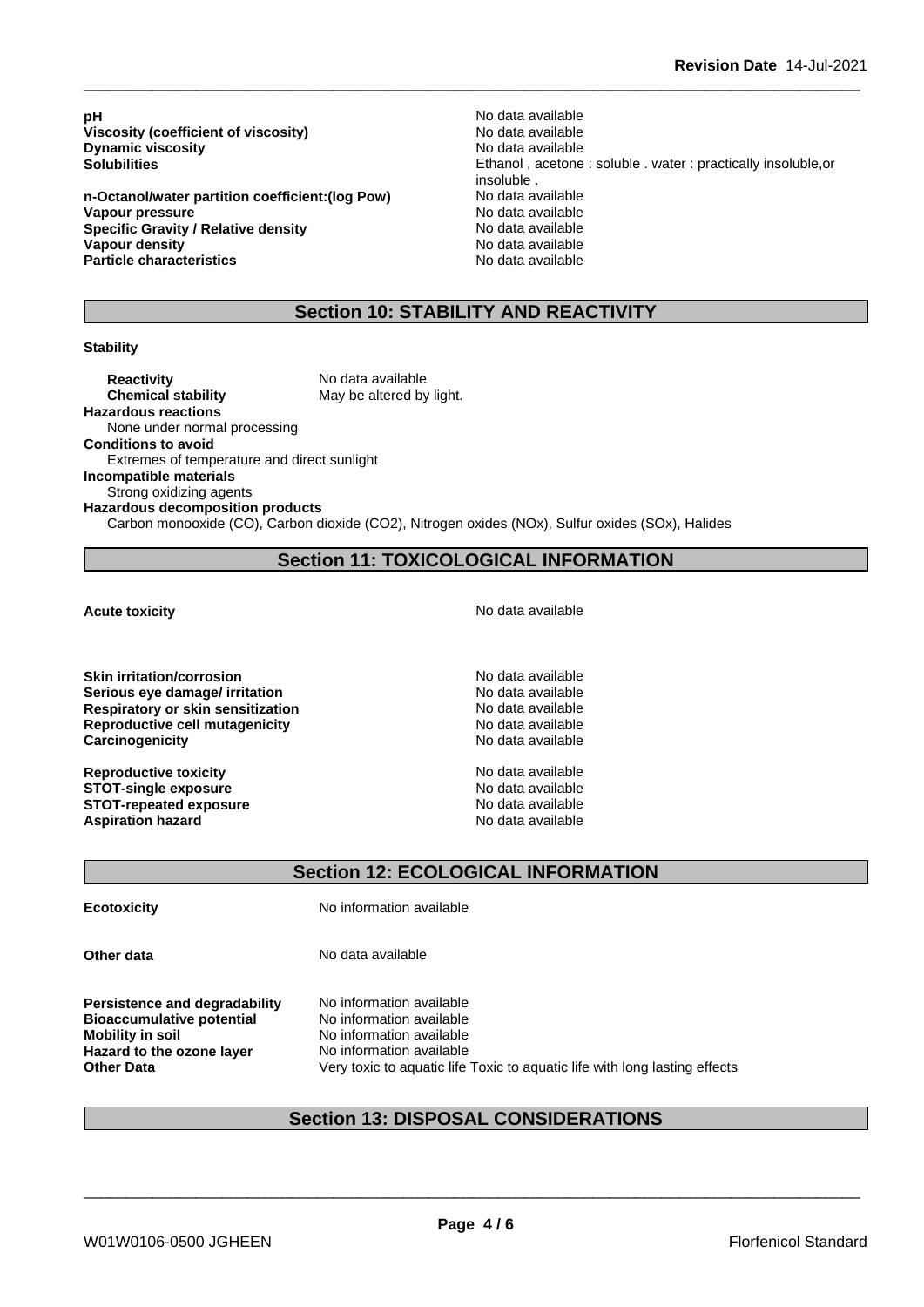**pH** No data available<br>Viscosity (coefficient of viscosity) No data available **Viscosity (coefficient of viscosity)** No data available<br> **Dynamic viscosity** No data available **Dynamic** viscosity

**n-Octanol/water partition coefficient:(log Pow) Vapour pressure**<br> **Specific Gravity / Relative density**<br> **Specific Gravity / Relative density**<br> **No data available Specific Gravity / Relative density Vapour density No data available Particle characteristics** No data available

**Solubilities** Ethanol , acetone : soluble . water : practically insoluble,or insoluble .<br>No data available

## **Section 10: STABILITY AND REACTIVITY**

#### **Stability**

**Reactivity** No data available **Chemical stability** May be altered by light. **Hazardous reactions** None under normal processing **Conditions to avoid** Extremes of temperature and direct sunlight **Incompatible materials** Strong oxidizing agents **Hazardous decomposition products** Carbon monooxide (CO), Carbon dioxide (CO2), Nitrogen oxides (NOx), Sulfur oxides (SOx), Halides

## **Section 11: TOXICOLOGICAL INFORMATION**

**Skin irritation/corrosion** and **no model is a structure of the Skin** available **Serious eve damage/ irritation** and the serious No data available **Respiratory or skin sensitization**<br> **Reproductive cell mutagenicity**<br> **Reproductive cell mutagenicity**<br> **No data available Reproductive cell mutagenicity** No data available<br> **Carcinogenicity** No data available **Carcinogenicity** 

**Reproductive toxicity**<br> **STOT-single exposure**<br> **STOT-single exposure STOT-single exposure**<br> **STOT-repeated exposure**<br> **STOT-repeated exposure**<br> **No data available STOT-repeated exposure**<br> **Aspiration hazard**<br> **Aspiration hazard**<br> **Aspiration hazard Aspiration hazard** 

**Acute toxicity Acute toxicity Acute has a structure in the structure of**  $\mathbb{R}^n$  **and**  $\mathbb{R}^n$  **<b>No data available** 

**Section 12: ECOLOGICAL INFORMATION**

**Ecotoxicity** No information available

**Other data** No data available

**Persistence and degradability** No information available **Bioaccumulative potential** No information available **Mobility in soil**<br> **Hazard to the ozone laver** Mo information available **Hazard** to the ozone layer

**Other Data** Very toxic to aquatic life Toxic to aquatic life with long lasting effects

\_\_\_\_\_\_\_\_\_\_\_\_\_\_\_\_\_\_\_\_\_\_\_\_\_\_\_\_\_\_\_\_\_\_\_\_\_\_\_\_\_\_\_\_\_\_\_\_\_\_\_\_\_\_\_\_\_\_\_\_\_\_\_\_\_\_\_\_\_\_\_\_\_\_\_\_\_\_\_\_\_\_\_\_\_\_\_\_\_\_

## **Section 13: DISPOSAL CONSIDERATIONS**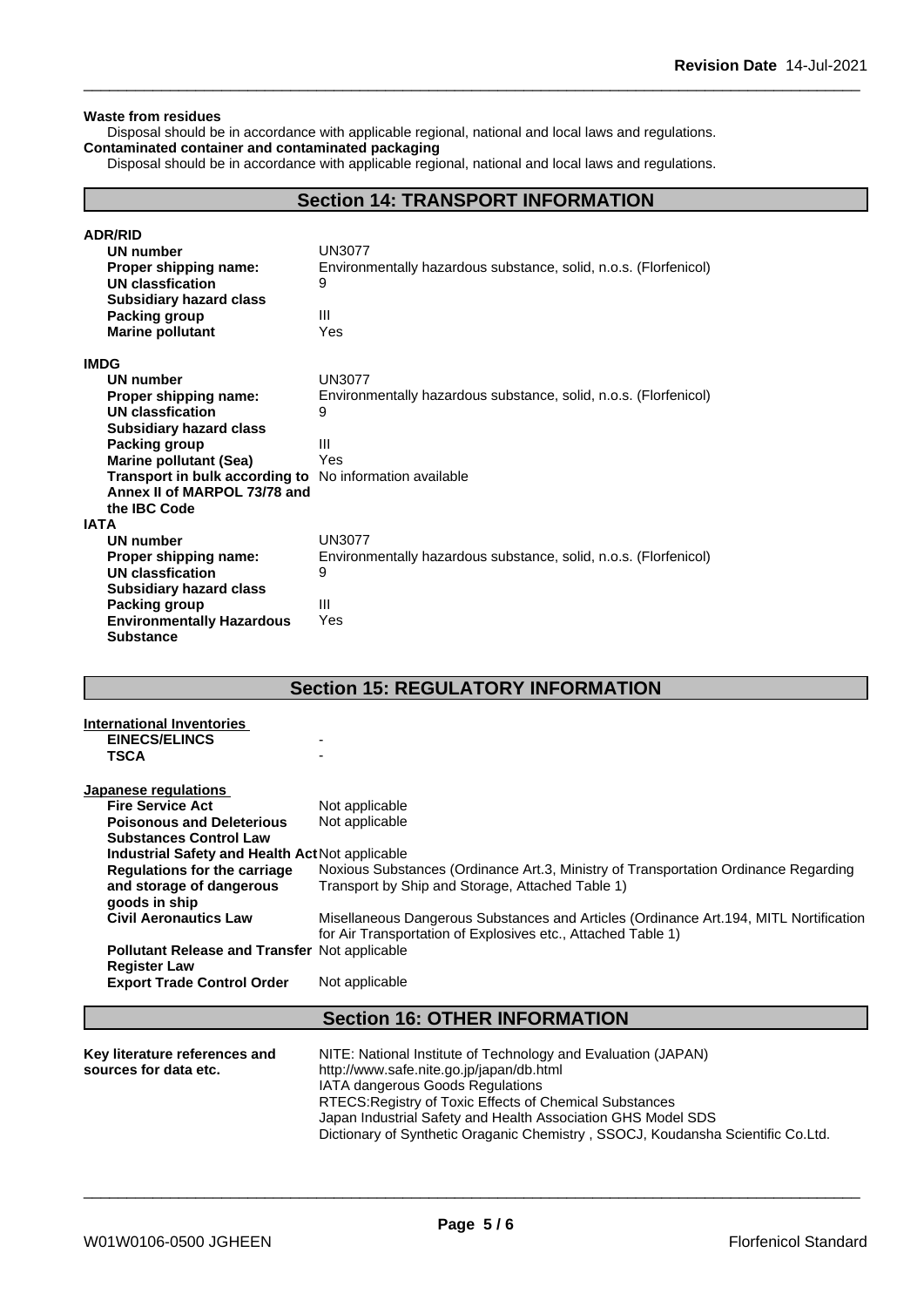#### **Waste from residues**

Disposal should be in accordance with applicable regional, national and local laws and regulations. **Contaminated container and contaminated packaging**

Disposal should be in accordance with applicable regional, national and local laws and regulations.

## **Section 14: TRANSPORT INFORMATION**

| <b>ADR/RID</b>                   |                                                                  |
|----------------------------------|------------------------------------------------------------------|
| <b>UN number</b>                 | <b>UN3077</b>                                                    |
| Proper shipping name:            | Environmentally hazardous substance, solid, n.o.s. (Florfenicol) |
| UN classfication                 | 9                                                                |
| <b>Subsidiary hazard class</b>   |                                                                  |
| Packing group                    | Ш                                                                |
| <b>Marine pollutant</b>          | Yes                                                              |
| <b>IMDG</b>                      |                                                                  |
| UN number                        | UN3077                                                           |
| Proper shipping name:            | Environmentally hazardous substance, solid, n.o.s. (Florfenicol) |
| UN classfication                 | 9                                                                |
| <b>Subsidiary hazard class</b>   |                                                                  |
| Packing group                    | Ш                                                                |
| <b>Marine pollutant (Sea)</b>    | Yes                                                              |
| Transport in bulk according to   | No information available                                         |
| Annex II of MARPOL 73/78 and     |                                                                  |
| the IBC Code                     |                                                                  |
| IATA                             |                                                                  |
| <b>UN number</b>                 | <b>UN3077</b>                                                    |
| Proper shipping name:            | Environmentally hazardous substance, solid, n.o.s. (Florfenicol) |
| UN classfication                 | 9                                                                |
| <b>Subsidiary hazard class</b>   |                                                                  |
| Packing group                    | Ш                                                                |
| <b>Environmentally Hazardous</b> | Yes                                                              |
| <b>Substance</b>                 |                                                                  |

## **Section 15: REGULATORY INFORMATION**

| <b>International Inventories</b>                     |                                                                                                                            |  |  |  |  |
|------------------------------------------------------|----------------------------------------------------------------------------------------------------------------------------|--|--|--|--|
| <b>EINECS/ELINCS</b>                                 |                                                                                                                            |  |  |  |  |
| <b>TSCA</b>                                          |                                                                                                                            |  |  |  |  |
|                                                      |                                                                                                                            |  |  |  |  |
| Japanese regulations<br><b>Fire Service Act</b>      | Not applicable                                                                                                             |  |  |  |  |
| <b>Poisonous and Deleterious</b>                     |                                                                                                                            |  |  |  |  |
|                                                      | Not applicable                                                                                                             |  |  |  |  |
| <b>Substances Control Law</b>                        |                                                                                                                            |  |  |  |  |
| Industrial Safety and Health Act Not applicable      |                                                                                                                            |  |  |  |  |
|                                                      | Noxious Substances (Ordinance Art.3, Ministry of Transportation Ordinance Regarding<br><b>Regulations for the carriage</b> |  |  |  |  |
| and storage of dangerous                             | Transport by Ship and Storage, Attached Table 1)                                                                           |  |  |  |  |
| goods in ship                                        |                                                                                                                            |  |  |  |  |
| <b>Civil Aeronautics Law</b>                         | Misellaneous Dangerous Substances and Articles (Ordinance Art.194, MITL Nortification                                      |  |  |  |  |
|                                                      | for Air Transportation of Explosives etc., Attached Table 1)                                                               |  |  |  |  |
| <b>Pollutant Release and Transfer Not applicable</b> |                                                                                                                            |  |  |  |  |
| <b>Register Law</b>                                  |                                                                                                                            |  |  |  |  |
| <b>Export Trade Control Order</b>                    | Not applicable                                                                                                             |  |  |  |  |
|                                                      |                                                                                                                            |  |  |  |  |
|                                                      | <b>Section 16: OTHER INFORMATION</b>                                                                                       |  |  |  |  |
|                                                      |                                                                                                                            |  |  |  |  |
| Key literature references and                        | NITE: National Institute of Technology and Evaluation (JAPAN)                                                              |  |  |  |  |
| sources for data etc.                                | http://www.safe.nite.go.jp/japan/db.html                                                                                   |  |  |  |  |
|                                                      | IATA dangerous Goods Regulations                                                                                           |  |  |  |  |
|                                                      | RTECS: Registry of Toxic Effects of Chemical Substances                                                                    |  |  |  |  |
|                                                      | Japan Industrial Safety and Health Association GHS Model SDS                                                               |  |  |  |  |
|                                                      | Dictionary of Synthetic Oraganic Chemistry, SSOCJ, Koudansha Scientific Co.Ltd.                                            |  |  |  |  |
|                                                      |                                                                                                                            |  |  |  |  |